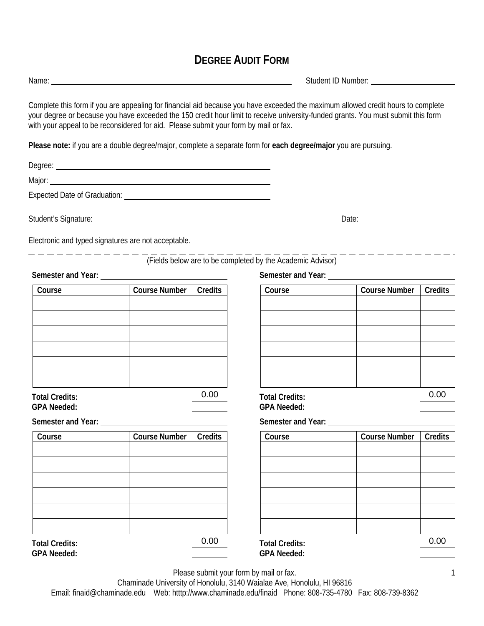## **DEGREE AUDIT FORM**

Please submit your form by mail or fax.

Chaminade University of Honolulu, 3140 Waialae Ave, Honolulu, HI 96816 Email: finaid@chaminade.edu Web: htttp://www.chaminade.edu/finaid Phone: 808-735-4780 Fax: 808-739-8362

Name: Student ID Number:

Complete this form if you are appealing for financial aid because you have exceeded the maximum allowed credit hours to complete your degree or because you have exceeded the 150 credit hour limit to receive university-funded grants. You must submit this form with your appeal to be reconsidered for aid. Please submit your form by mail or fax.

**Please note:** if you are a double degree/major, complete a separate form for **each degree/major** you are pursuing.

Degree: **Degree: Degree: Degree: Degree: Degree: Degree: Degree: Degree: Degree: Degree: Degree: Degree: Degree: Degree: Degree: Degree: Degree: Degree: Degree: Degree: Degree: Deg** Major:

l

Expected Date of Graduation: University of American Secretary Assembly

Student's Signature: Date: Date: Date: Date: Date: Date: Date: Date: Date: Date: Date: Date: Date: Date: Date: Date: Date: Date: Date: Date: Date: Date: Date: Date: Date: Date: Date: Date: Date: Date: Date: Date: Date: Dat

Electronic and typed signatures are not acceptable.

## (Fields below are to be completed by the Academic Advisor)

**Semester and Year:**

| Course         | <b>Course Number</b> | Credits |
|----------------|----------------------|---------|
|                |                      |         |
|                |                      |         |
|                |                      |         |
|                |                      |         |
|                |                      |         |
|                |                      |         |
| Total Crodito: |                      |         |

**Total Credits: GPA Needed:** 

**Semester and Year:**

| Course                | <b>Course Number</b> | Credits |
|-----------------------|----------------------|---------|
|                       |                      |         |
|                       |                      |         |
|                       |                      |         |
|                       |                      |         |
|                       |                      |         |
|                       |                      |         |
| <b>Total Credits:</b> |                      | 0.00    |
| GPA Needed:           |                      |         |

**Semester and Year:**

| Course | Course Number | Credits |
|--------|---------------|---------|
|        |               |         |
|        |               |         |
|        |               |         |
|        |               |         |
|        |               |         |
|        |               |         |
| _      |               | ∩∩      |

| 0.00   | <b>Total Credits:</b> |                      | 0.00           |
|--------|-----------------------|----------------------|----------------|
|        | <b>GPA Needed:</b>    |                      |                |
|        | Semester and Year:    |                      |                |
| redits | Course                | <b>Course Number</b> | <b>Credits</b> |
|        |                       |                      |                |
|        |                       |                      |                |
|        |                       |                      |                |
|        |                       |                      |                |
|        |                       |                      |                |
|        |                       |                      |                |
| 0.00   | <b>Total Credits:</b> |                      | 0.00           |
|        | GPA Needed:           |                      |                |

1